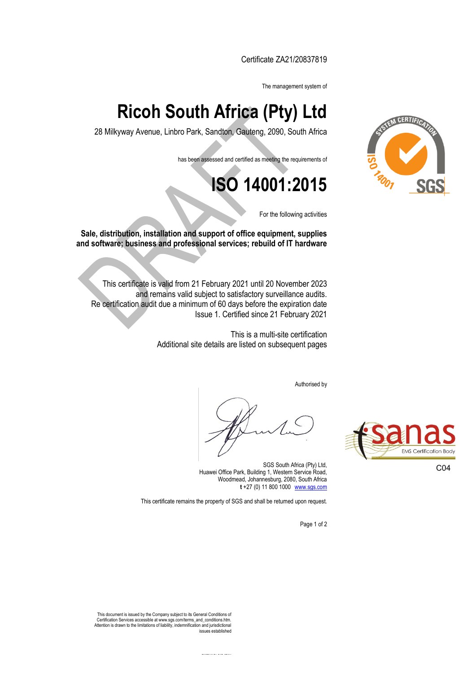Certificate ZA21/20837819

The management system of

## **Ricoh South Africa (Pty) Ltd**

28 Milkyway Avenue, Linbro Park, Sandton, Gauteng, 2090, South Africa

has been assessed and certified as meeting the requirements of

**ISO 14001:2015**

For the following activities

**Sale, distribution, installation and support of office equipment, supplies and software; business and professional services; rebuild of IT hardware** 

This certificate is valid from 21 February 2021 until 20 November 2023 and remains valid subject to satisfactory surveillance audits. Re certification audit due a minimum of 60 days before the expiration date Issue 1. Certified since 21 February 2021

> This is a multi-site certification Additional site details are listed on subsequent pages

> > Authorised by

Page 1 of 2

SGS South Africa (Pty) Ltd, Huawei Office Park, Building 1, Western Service Road, Woodmead, Johannesburg, 2080, South Africa **t** +27 (0) 11 800 1000□[www.sgs.com](http://www.sgs.com/)

This certificate remains the property of SGS and shall be returned upon request.



C04



This document is issued by the Company subject to its General Conditions of Certification Services accessible at www.sgs.com/terms\_and\_conditions.htm. This document is issued by the Company subject to its General Conditions of<br>Certification Services accessible at www.sgs.com/terms\_and\_conditions.htm.<br>Attention is drawn to the limitations of liability, indemnification and issues established